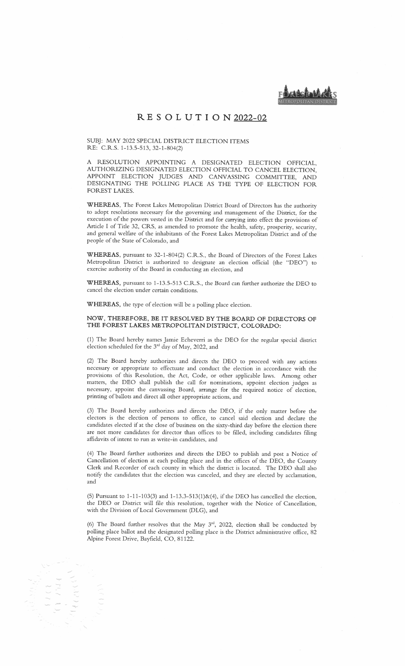METROPOLITAN DISTRICT.

## RE <sup>S</sup> 0 LU TI ON 2022-02

SUBJ: MAY 2022 SPECIAL DISTRICT ELECTION ITEMS RE: C.R.S. 1-13.5-513, 32-1-804(2)

A RESOLUTION APPOINTING <sup>A</sup> DESIGNATED ELECTION OFFICIAL, AUTHORIZING DESIGNATED ELECTION OFFICIAL TO CANCEL ELECTION, APPOINT ELECTION JUDGES AND CANVASSING COMMITTEE, AND DESIGNATING THE POLLING PLACE AS THE TYPE OF ELECTION FOR FOREST LAKES.

WHEREAS, The Forest Lakes Metropolitan District Board of Directors has the authority to adopt resolutions necessary for the governing and management of the District, for the execution of the powers vested in the District and for carrying into effect the provisions of Article <sup>I</sup> of Title 32, CRS, as amended to promote the health, safety, prosperity, security, and general welfare of the inhabitants of the Forest Lakes Metropolitan District and of the people of the State of Colorado, and

WHEREAS, pursuant to 32-1-804(2) C.R.S., the Board of Directors of the Forest Lakes Metropolitan District is authorized to designate an election official (the "DEO") to exercise authority of the Board in conducting an election, and

WHEREAS, pursuant to 1-13.5-513 C.R.S., the Board can further authorize the DEO to cancel the election under certain conditions.

WHEREAS, the type of election will be <sup>a</sup> polling place election.

## NOW, THEREFORE, BE IT RESOLVED BY THE BOARD OF DIRECTORS OF THE FOREST LAKES METROPOLITAN DISTRICT, COLORADO:

(1) The Board hereby names Jamie Echeverri as the DEO for the regular special district election scheduled for the  $3<sup>rd</sup>$  day of May, 2022, and

(2) The Board hereby authorizes and directs the DEO to proceed with any actions necessary or appropriate to effectuate and conduct the election in accordance with the provisions of this Resolution, the Act, Code, or other applicable laws. Among other matters, the DEO shall publish the call for nominations, appoint election judges as necessary, appoint the canvassing Board, arrange for the required notice of election, printing of ballots and direct all other appropriate actions, and

(3) The Board hereby authorizes and directs the DEO, if the only matter before the electors is the election of persons to office, to cancel said election and declare the candidates elected if at the close of business on the sixty—third day before the election there are not more candidates for director than offices to be filled, including candidates filing affidavits of intent to run as write—in candidates, and

(4) The Board further authorizes and directs the DEO to publish and post <sup>a</sup> Notice of Cancellation of election at each polling place and in the offices of the DEO, the County Clerk and Recorder of each county in which the district is located. The DEO shall also notify the candidates that the election was canceled, and they are elected by acclamation, and

(5) Pursuant to  $1-11-103(3)$  and  $1-13.3-513(1)$ &(4), if the DEO has cancelled the election, the DEO or District will file this resolution, together with the Notice of Cancellation, with the Division of Local Government (DLG), and

(6) The Board further resolves that the May  $3^{rd}$ , 2022, election shall be conducted by polling place ballot and the designated polling place is the District administrative office, 82 Alpine Forest Drive, Bayfield, CO, 81122.